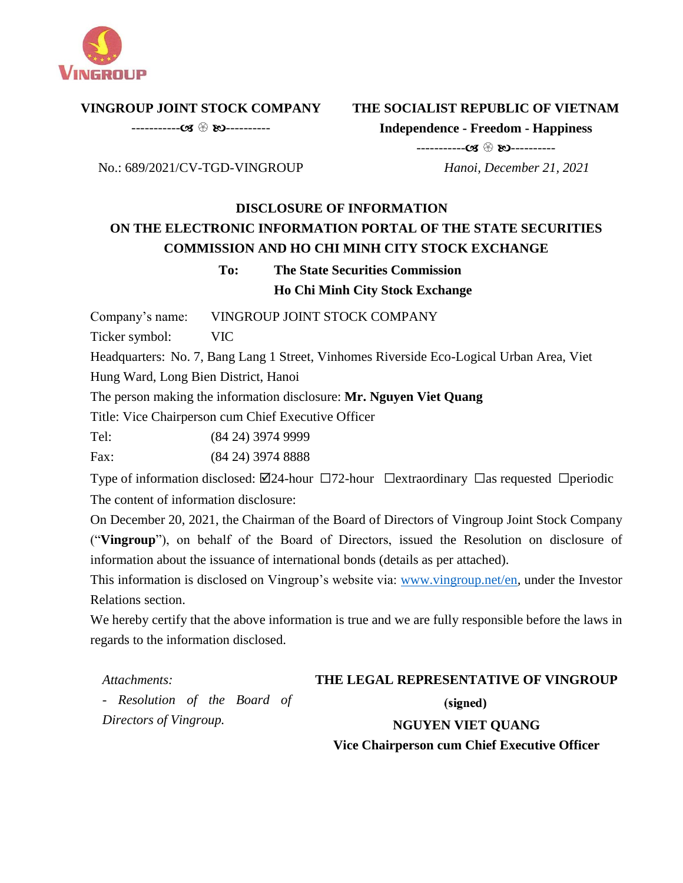

**VINGROUP JOINT STOCK COMPANY** 

----------- ----------

# **THE SOCIALIST REPUBLIC OF VIETNAM**

**Independence - Freedom - Happiness**

----------- ----------

 *Hanoi, December 21, 2021*

# No.: 689/2021/CV-TGD-VINGROUP

## **DISCLOSURE OF INFORMATION ON THE ELECTRONIC INFORMATION PORTAL OF THE STATE SECURITIES COMMISSION AND HO CHI MINH CITY STOCK EXCHANGE**

## **To: The State Securities Commission Ho Chi Minh City Stock Exchange**

Company's name: VINGROUP JOINT STOCK COMPANY

Ticker symbol: VIC

Headquarters: No. 7, Bang Lang 1 Street, Vinhomes Riverside Eco-Logical Urban Area, Viet Hung Ward, Long Bien District, Hanoi

The person making the information disclosure: **Mr. Nguyen Viet Quang**

Title: Vice Chairperson cum Chief Executive Officer

Tel: (84 24) 3974 9999

Fax: (84 24) 3974 8888

Type of information disclosed:  $\boxdot$ 24-hour  $\Box$ 72-hour  $\Box$ extraordinary  $\Box$ as requested  $\Box$ periodic The content of information disclosure:

On December 20, 2021, the Chairman of the Board of Directors of Vingroup Joint Stock Company ("**Vingroup**"), on behalf of the Board of Directors, issued the Resolution on disclosure of information about the issuance of international bonds (details as per attached).

This information is disclosed on Vingroup's website via: [www.vingroup.net/en](https://www.vingroup.net/en)*,* under the Investor Relations section.

We hereby certify that the above information is true and we are fully responsible before the laws in regards to the information disclosed.

*Attachments:* 

## **THE LEGAL REPRESENTATIVE OF VINGROUP**

*- Resolution of the Board of Directors of Vingroup.*

(signed)

**NGUYEN VIET QUANG Vice Chairperson cum Chief Executive Officer**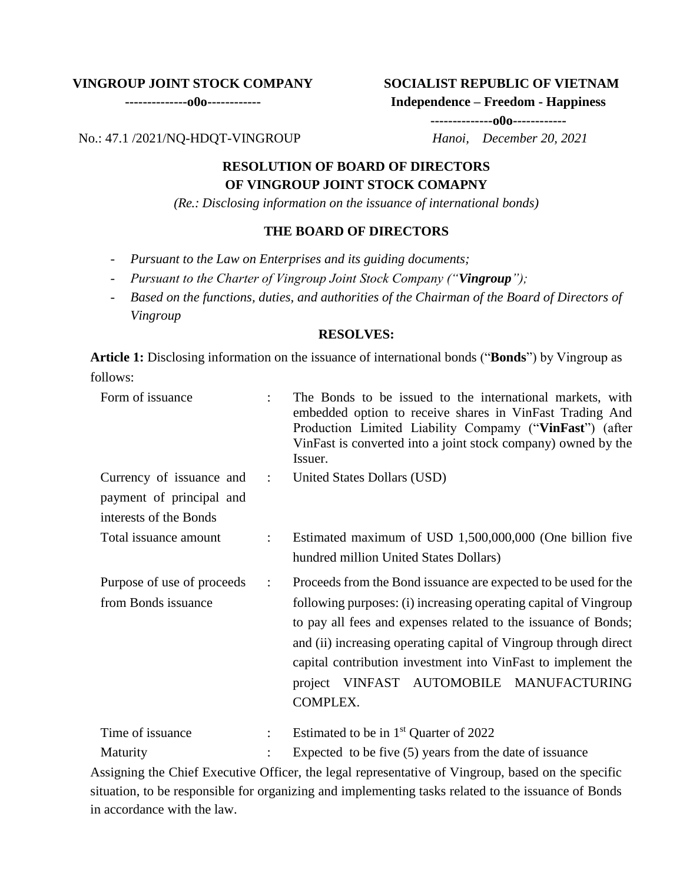#### **VINGROUP JOINT STOCK COMPANY**

**--------------o0o------------**

#### **SOCIALIST REPUBLIC OF VIETNAM**

**Independence – Freedom - Happiness**

**--------------o0o------------**

No.: 47.1 /2021/NQ-HDQT-VINGROUP *Hanoi, December 20, 2021*

### **RESOLUTION OF BOARD OF DIRECTORS OF VINGROUP JOINT STOCK COMAPNY**

*(Re.: Disclosing information on the issuance of international bonds)*

### **THE BOARD OF DIRECTORS**

- *Pursuant to the Law on Enterprises and its guiding documents;*
- *Pursuant to the Charter of Vingroup Joint Stock Company ("Vingroup");*
- *Based on the functions, duties, and authorities of the Chairman of the Board of Directors of Vingroup*

#### **RESOLVES:**

**Article 1:** Disclosing information on the issuance of international bonds ("**Bonds**") by Vingroup as follows:

| Form of issuance                                                               |                          | The Bonds to be issued to the international markets, with<br>embedded option to receive shares in VinFast Trading And<br>Production Limited Liability Compamy ("VinFast") (after<br>VinFast is converted into a joint stock company) owned by the<br>Issuer.                                                                                                                                       |
|--------------------------------------------------------------------------------|--------------------------|----------------------------------------------------------------------------------------------------------------------------------------------------------------------------------------------------------------------------------------------------------------------------------------------------------------------------------------------------------------------------------------------------|
| Currency of issuance and<br>payment of principal and<br>interests of the Bonds | $\sim 1000$ km s $^{-1}$ | United States Dollars (USD)                                                                                                                                                                                                                                                                                                                                                                        |
| Total issuance amount                                                          | ÷                        | Estimated maximum of USD 1,500,000,000 (One billion five<br>hundred million United States Dollars)                                                                                                                                                                                                                                                                                                 |
| Purpose of use of proceeds<br>from Bonds issuance                              | $\ddot{\cdot}$           | Proceeds from the Bond issuance are expected to be used for the<br>following purposes: (i) increasing operating capital of Vingroup<br>to pay all fees and expenses related to the issuance of Bonds;<br>and (ii) increasing operating capital of Vingroup through direct<br>capital contribution investment into VinFast to implement the<br>project VINFAST AUTOMOBILE MANUFACTURING<br>COMPLEX. |
| Time of issuance                                                               | ÷                        | Estimated to be in $1st$ Quarter of 2022                                                                                                                                                                                                                                                                                                                                                           |
| Maturity                                                                       |                          | Expected to be five $(5)$ years from the date of issuance                                                                                                                                                                                                                                                                                                                                          |

Assigning the Chief Executive Officer, the legal representative of Vingroup, based on the specific situation, to be responsible for organizing and implementing tasks related to the issuance of Bonds in accordance with the law.